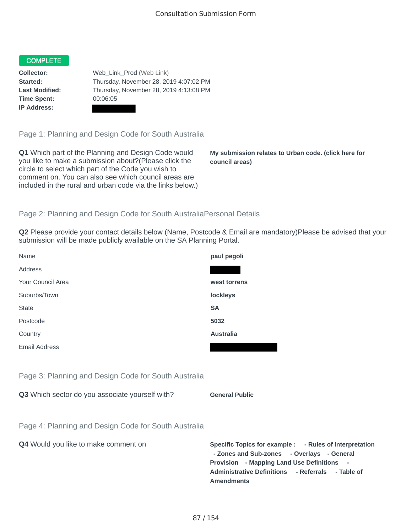## **COMPLETE**

**Time Spent:** 00:06:05 **IP Address:**

**Collector:** Web Link Prod (Web Link) **Started:** Thursday, November 28, 2019 4:07:02 PM **Last Modified:** Thursday, November 28, 2019 4:13:08 PM

Page 1: Planning and Design Code for South Australia

**Q1** Which part of the Planning and Design Code would you like to make a submission about?(Please click the circle to select which part of the Code you wish to comment on. You can also see which council areas are included in the rural and urban code via the links below.)

**My submission relates to Urban code. (click here for council areas)**

#### Page 2: Planning and Design Code for South AustraliaPersonal Details

**Q2** Please provide your contact details below (Name, Postcode & Email are mandatory)Please be advised that your submission will be made publicly available on the SA Planning Portal.

| Name                                                 | paul pegoli                                             |
|------------------------------------------------------|---------------------------------------------------------|
| Address                                              |                                                         |
| Your Council Area                                    | west torrens                                            |
| Suburbs/Town                                         | <b>lockleys</b>                                         |
| <b>State</b>                                         | <b>SA</b>                                               |
| Postcode                                             | 5032                                                    |
| Country                                              | <b>Australia</b>                                        |
| Email Address                                        |                                                         |
|                                                      |                                                         |
| Page 3: Planning and Design Code for South Australia |                                                         |
| Q3 Which sector do you associate yourself with?      | <b>General Public</b>                                   |
|                                                      |                                                         |
| Page 4: Planning and Design Code for South Australia |                                                         |
| Q4 Would you like to make comment on                 | <b>Specific Topics for exal</b><br>- Zones and Sub-zone |

**EXAMPLE : - Rules of Interpretation nes** - Overlays - General **Provision - Mapping Land Use Definitions - Administrative Definitions - Referrals - Table of Amendments**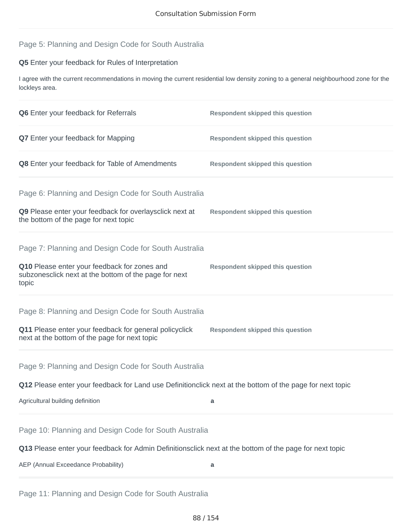# Page 5: Planning and Design Code for South Australia

## **Q5** Enter your feedback for Rules of Interpretation

I agree with the current recommendations in moving the current residential low density zoning to a general neighbourhood zone for the lockleys area.

| Q6 Enter your feedback for Referrals                                                                           | <b>Respondent skipped this question</b> |  |
|----------------------------------------------------------------------------------------------------------------|-----------------------------------------|--|
| Q7 Enter your feedback for Mapping                                                                             | <b>Respondent skipped this question</b> |  |
| Q8 Enter your feedback for Table of Amendments                                                                 | <b>Respondent skipped this question</b> |  |
| Page 6: Planning and Design Code for South Australia                                                           |                                         |  |
| Q9 Please enter your feedback for overlaysclick next at<br>the bottom of the page for next topic               | <b>Respondent skipped this question</b> |  |
| Page 7: Planning and Design Code for South Australia                                                           |                                         |  |
| Q10 Please enter your feedback for zones and<br>subzonesclick next at the bottom of the page for next<br>topic | <b>Respondent skipped this question</b> |  |
| Page 8: Planning and Design Code for South Australia                                                           |                                         |  |
| Q11 Please enter your feedback for general policyclick<br>next at the bottom of the page for next topic        | <b>Respondent skipped this question</b> |  |
| Page 9: Planning and Design Code for South Australia                                                           |                                         |  |
| Q12 Please enter your feedback for Land use Definitionclick next at the bottom of the page for next topic      |                                         |  |
| Agricultural building definition                                                                               | a                                       |  |
| Page 10: Planning and Design Code for South Australia                                                          |                                         |  |
| Q13 Please enter your feedback for Admin Definitionsclick next at the bottom of the page for next topic        |                                         |  |
| AEP (Annual Exceedance Probability)                                                                            | a                                       |  |

Page 11: Planning and Design Code for South Australia